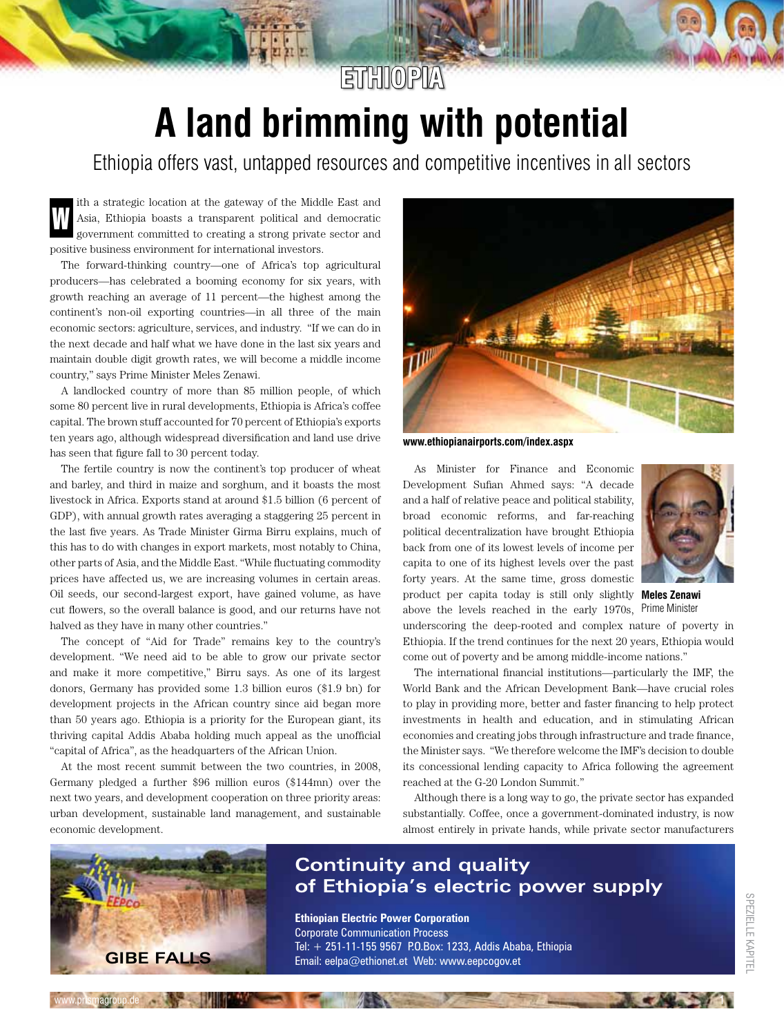## **A land brimming with potential ETHIOPIA**

Ethiopia offers vast, untapped resources and competitive incentives in all sectors

ith a strategic location at the gateway of the Middle East and Asia, Ethiopia boasts a transparent political and democratic government committed to creating a strong private sector and positive business environment for international investors. W

The forward-thinking country—one of Africa's top agricultural producers—has celebrated a booming economy for six years, with growth reaching an average of 11 percent—the highest among the continent's non-oil exporting countries—in all three of the main economic sectors: agriculture, services, and industry. "If we can do in the next decade and half what we have done in the last six years and maintain double digit growth rates, we will become a middle income country," says Prime Minister Meles Zenawi.

A landlocked country of more than 85 million people, of which some 80 percent live in rural developments, Ethiopia is Africa's coffee capital. The brown stuff accounted for 70 percent of Ethiopia's exports ten years ago, although widespread diversification and land use drive has seen that figure fall to 30 percent today.

The fertile country is now the continent's top producer of wheat and barley, and third in maize and sorghum, and it boasts the most livestock in Africa. Exports stand at around \$1.5 billion (6 percent of GDP), with annual growth rates averaging a staggering 25 percent in the last five years. As Trade Minister Girma Birru explains, much of this has to do with changes in export markets, most notably to China, other parts of Asia, and the Middle East. "While fluctuating commodity prices have affected us, we are increasing volumes in certain areas. Oil seeds, our second-largest export, have gained volume, as have cut flowers, so the overall balance is good, and our returns have not halved as they have in many other countries."

The concept of "Aid for Trade" remains key to the country's development. "We need aid to be able to grow our private sector and make it more competitive," Birru says. As one of its largest donors, Germany has provided some 1.3 billion euros (\$1.9 bn) for development projects in the African country since aid began more than 50 years ago. Ethiopia is a priority for the European giant, its thriving capital Addis Ababa holding much appeal as the unofficial "capital of Africa", as the headquarters of the African Union.

At the most recent summit between the two countries, in 2008, Germany pledged a further \$96 million euros (\$144mn) over the next two years, and development cooperation on three priority areas: urban development, sustainable land management, and sustainable economic development.



**www.ethiopianairports.com/index.aspx**

As Minister for Finance and Economic Development Sufian Ahmed says: "A decade and a half of relative peace and political stability, broad economic reforms, and far-reaching political decentralization have brought Ethiopia back from one of its lowest levels of income per capita to one of its highest levels over the past forty years. At the same time, gross domestic product per capita today is still only slightly **Meles Zenawi**  above the levels reached in the early 1970s, Prime Minister



underscoring the deep-rooted and complex nature of poverty in Ethiopia. If the trend continues for the next 20 years, Ethiopia would come out of poverty and be among middle-income nations."

The international financial institutions—particularly the IMF, the World Bank and the African Development Bank—have crucial roles to play in providing more, better and faster financing to help protect investments in health and education, and in stimulating African economies and creating jobs through infrastructure and trade finance, the Minister says. "We therefore welcome the IMF's decision to double its concessional lending capacity to Africa following the agreement reached at the G-20 London Summit."

Although there is a long way to go, the private sector has expanded substantially. Coffee, once a government-dominated industry, is now almost entirely in private hands, while private sector manufacturers



www.prismagroup.de

#### **Continuity and quality of Ethiopia's electric power supply**

**Ethiopian Electric Power Corporation** Corporate Communication Process Tel: + 251-11-155 9567 P.O.Box: 1233, Addis Ababa, Ethiopia Email: eelpa@ethionet.et Web: www.eepcogov.et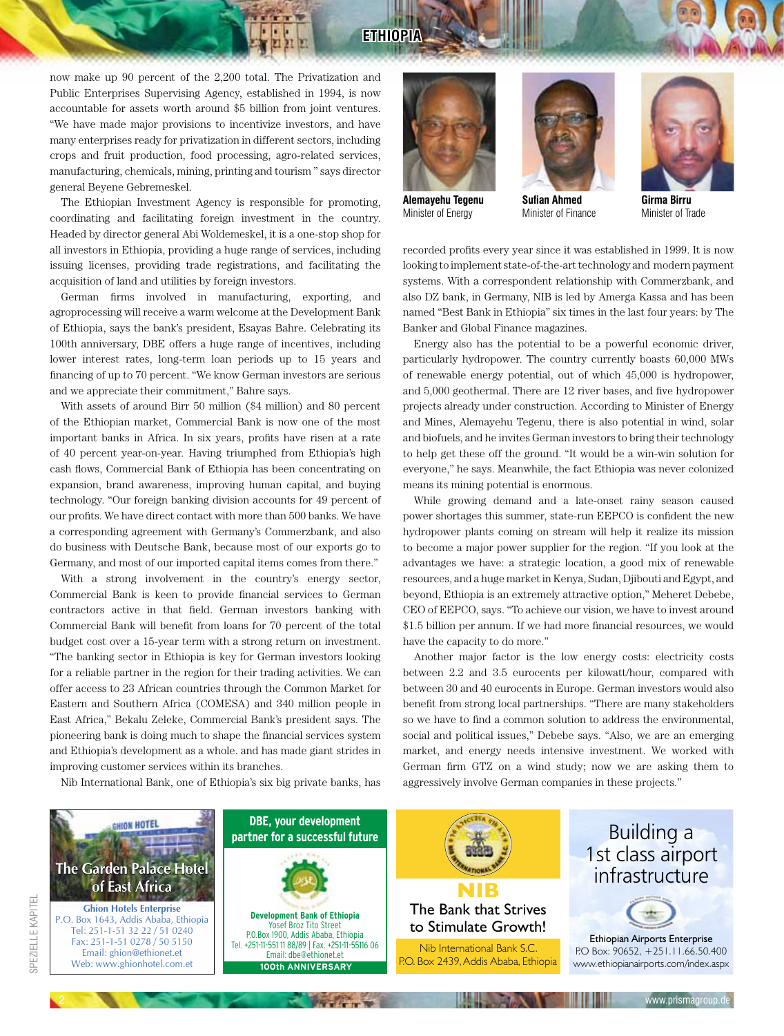#### **ETHIOPIA**

now make up 90 percent of the 2,200 total. The Privatization and Public Enterprises Supervising Agency, established in 1994, is now accountable for assets worth around \$5 billion from joint ventures. "We have made major provisions to incentivize investors, and have many enterprises ready for privatization in different sectors, including crops and fruit production, food processing, agro-related services, manufacturing, chemicals, mining, printing and tourism " says director general Beyene Gebremeskel.

The Ethiopian Investment Agency is responsible for promoting, coordinating and facilitating foreign investment in the country. Headed by director general Abi Woldemeskel, it is a one-stop shop for all investors in Ethiopia, providing a huge range of services, including issuing licenses, providing trade registrations, and facilitating the acquisition of land and utilities by foreign investors.

German firms involved in manufacturing, exporting, and agroprocessing will receive a warm welcome at the Development Bank of Ethiopia, says the bank's president, Esayas Bahre. Celebrating its 100th anniversary, DBE offers a huge range of incentives, including lower interest rates, long-term loan periods up to 15 years and financing of up to 70 percent. "We know German investors are serious and we appreciate their commitment," Bahre says.

With assets of around Birr 50 million (\$4 million) and 80 percent of the Ethiopian market, Commercial Bank is now one of the most important banks in Africa. In six years, profits have risen at a rate of 40 percent year-on-year. Having triumphed from Ethiopia's high cash flows, Commercial Bank of Ethiopia has been concentrating on expansion, brand awareness, improving human capital, and buying technology. "Our foreign banking division accounts for 49 percent of our profits. We have direct contact with more than 500 banks. We have a corresponding agreement with Germany's Commerzbank, and also do business with Deutsche Bank, because most of our exports go to Germany, and most of our imported capital items comes from there."

With a strong involvement in the country's energy sector, Commercial Bank is keen to provide financial services to German contractors active in that field. German investors banking with Commercial Bank will benefit from loans for 70 percent of the total budget cost over a 15-year term with a strong return on investment. "The banking sector in Ethiopia is key for German investors looking for a reliable partner in the region for their trading activities. We can offer access to 23 African countries through the Common Market for Eastern and Southern Africa (COMESA) and 340 million people in East Africa," Bekalu Zeleke, Commercial Bank's president says. The pioneering bank is doing much to shape the financial services system and Ethiopia's development as a whole. and has made giant strides in improving customer services within its branches.

Nib International Bank, one of Ethiopia's six big private banks, has



Minister of Energy



**Girma Birru** Minister of Trade

recorded profits every year since it was established in 1999. It is now looking to implement state-of-the-art technology and modern payment systems. With a correspondent relationship with Commerzbank, and also DZ bank, in Germany, NIB is led by Amerga Kassa and has been named "Best Bank in Ethiopia" six times in the last four years: by The Banker and Global Finance magazines.

Energy also has the potential to be a powerful economic driver, particularly hydropower. The country currently boasts 60,000 MWs of renewable energy potential, out of which 45,000 is hydropower, and 5,000 geothermal. There are 12 river bases, and five hydropower projects already under construction. According to Minister of Energy and Mines, Alemayehu Tegenu, there is also potential in wind, solar and biofuels, and he invites German investors to bring their technology to help get these off the ground. "It would be a win-win solution for everyone," he says. Meanwhile, the fact Ethiopia was never colonized means its mining potential is enormous.

While growing demand and a late-onset rainy season caused power shortages this summer, state-run EEPCO is confident the new hydropower plants coming on stream will help it realize its mission to become a major power supplier for the region. "If you look at the advantages we have: a strategic location, a good mix of renewable resources, and a huge market in Kenya, Sudan, Djibouti and Egypt, and beyond, Ethiopia is an extremely attractive option," Meheret Debebe, CEO of EEPCO, says. "To achieve our vision, we have to invest around \$1.5 billion per annum. If we had more financial resources, we would have the capacity to do more."

Another major factor is the low energy costs: electricity costs between 2.2 and 3.5 eurocents per kilowatt/hour, compared with between 30 and 40 eurocents in Europe. German investors would also benefit from strong local partnerships. "There are many stakeholders so we have to find a common solution to address the environmental, social and political issues," Debebe says. "Also, we are an emerging market, and energy needs intensive investment. We worked with German firm GTZ on a wind study; now we are asking them to aggressively involve German companies in these projects."

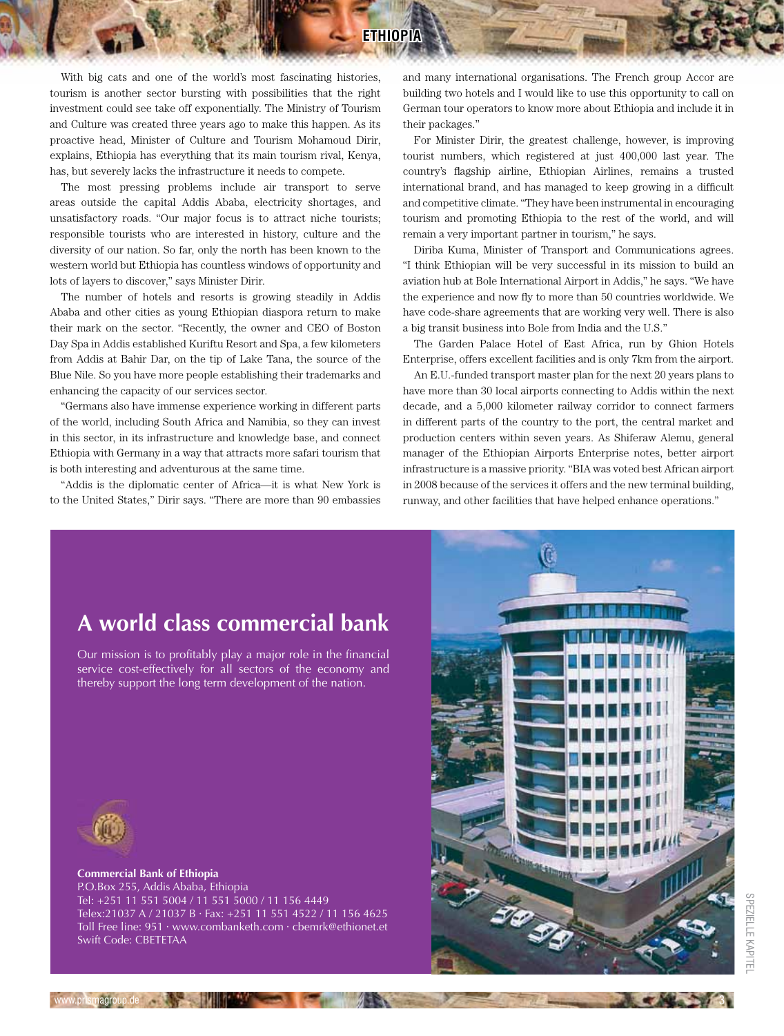With big cats and one of the world's most fascinating histories, tourism is another sector bursting with possibilities that the right investment could see take off exponentially. The Ministry of Tourism and Culture was created three years ago to make this happen. As its proactive head, Minister of Culture and Tourism Mohamoud Dirir, explains, Ethiopia has everything that its main tourism rival, Kenya, has, but severely lacks the infrastructure it needs to compete.

The most pressing problems include air transport to serve areas outside the capital Addis Ababa, electricity shortages, and unsatisfactory roads. "Our major focus is to attract niche tourists; responsible tourists who are interested in history, culture and the diversity of our nation. So far, only the north has been known to the western world but Ethiopia has countless windows of opportunity and lots of layers to discover," says Minister Dirir.

The number of hotels and resorts is growing steadily in Addis Ababa and other cities as young Ethiopian diaspora return to make their mark on the sector. "Recently, the owner and CEO of Boston Day Spa in Addis established Kuriftu Resort and Spa, a few kilometers from Addis at Bahir Dar, on the tip of Lake Tana, the source of the Blue Nile. So you have more people establishing their trademarks and enhancing the capacity of our services sector.

"Germans also have immense experience working in different parts of the world, including South Africa and Namibia, so they can invest in this sector, in its infrastructure and knowledge base, and connect Ethiopia with Germany in a way that attracts more safari tourism that is both interesting and adventurous at the same time.

"Addis is the diplomatic center of Africa—it is what New York is to the United States," Dirir says. "There are more than 90 embassies and many international organisations. The French group Accor are building two hotels and I would like to use this opportunity to call on German tour operators to know more about Ethiopia and include it in their packages."

For Minister Dirir, the greatest challenge, however, is improving tourist numbers, which registered at just 400,000 last year. The country's flagship airline, Ethiopian Airlines, remains a trusted international brand, and has managed to keep growing in a difficult and competitive climate. "They have been instrumental in encouraging tourism and promoting Ethiopia to the rest of the world, and will remain a very important partner in tourism," he says.

Diriba Kuma, Minister of Transport and Communications agrees. "I think Ethiopian will be very successful in its mission to build an aviation hub at Bole International Airport in Addis," he says. "We have the experience and now fly to more than 50 countries worldwide. We have code-share agreements that are working very well. There is also a big transit business into Bole from India and the U.S."

The Garden Palace Hotel of East Africa, run by Ghion Hotels Enterprise, offers excellent facilities and is only 7km from the airport.

An E.U.-funded transport master plan for the next 20 years plans to have more than 30 local airports connecting to Addis within the next decade, and a 5,000 kilometer railway corridor to connect farmers in different parts of the country to the port, the central market and production centers within seven years. As Shiferaw Alemu, general manager of the Ethiopian Airports Enterprise notes, better airport infrastructure is a massive priority. "BIA was voted best African airport in 2008 because of the services it offers and the new terminal building, runway, and other facilities that have helped enhance operations."

### **A world class commercial bank**

Our mission is to profitably play a major role in the financial service cost-effectively for all sectors of the economy and thereby support the long term development of the nation.



**Commercial Bank of Ethiopia** P.O.Box 255, Addis Ababa, Ethiopia Tel: +251 11 551 5004 / 11 551 5000 / 11 156 4449 Telex:21037 A / 21037 B · Fax: +251 11 551 4522 / 11 156 4625 Toll Free line: 951 · www.combanketh.com · cbemrk@ethionet.et Swift Code: CBETETAA